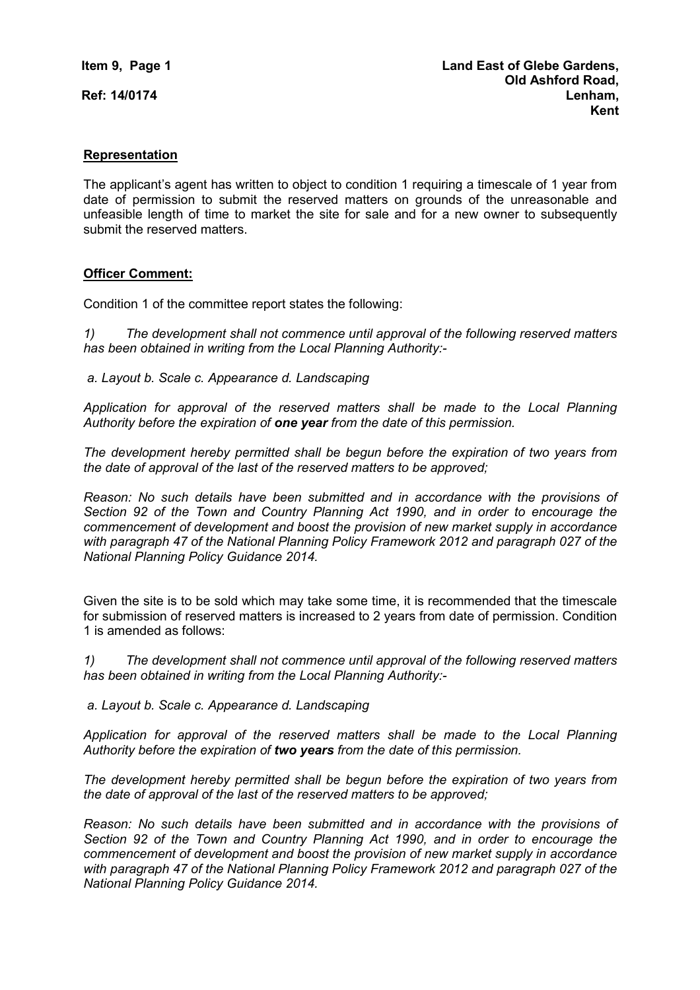**Ref: 14/0174** 

### **Representation**

The applicant's agent has written to object to condition 1 requiring a timescale of 1 year from date of permission to submit the reserved matters on grounds of the unreasonable and unfeasible length of time to market the site for sale and for a new owner to subsequently submit the reserved matters.

#### **Officer Comment:**

Condition 1 of the committee report states the following:

*1) The development shall not commence until approval of the following reserved matters has been obtained in writing from the Local Planning Authority:-* 

 *a. Layout b. Scale c. Appearance d. Landscaping* 

*Application for approval of the reserved matters shall be made to the Local Planning Authority before the expiration of one year from the date of this permission.* 

*The development hereby permitted shall be begun before the expiration of two years from the date of approval of the last of the reserved matters to be approved;* 

*Reason: No such details have been submitted and in accordance with the provisions of Section 92 of the Town and Country Planning Act 1990, and in order to encourage the commencement of development and boost the provision of new market supply in accordance with paragraph 47 of the National Planning Policy Framework 2012 and paragraph 027 of the National Planning Policy Guidance 2014.* 

Given the site is to be sold which may take some time, it is recommended that the timescale for submission of reserved matters is increased to 2 years from date of permission. Condition 1 is amended as follows:

*1) The development shall not commence until approval of the following reserved matters has been obtained in writing from the Local Planning Authority:-* 

 *a. Layout b. Scale c. Appearance d. Landscaping* 

*Application for approval of the reserved matters shall be made to the Local Planning Authority before the expiration of two years from the date of this permission.* 

*The development hereby permitted shall be begun before the expiration of two years from the date of approval of the last of the reserved matters to be approved;* 

*Reason: No such details have been submitted and in accordance with the provisions of Section 92 of the Town and Country Planning Act 1990, and in order to encourage the commencement of development and boost the provision of new market supply in accordance with paragraph 47 of the National Planning Policy Framework 2012 and paragraph 027 of the National Planning Policy Guidance 2014.*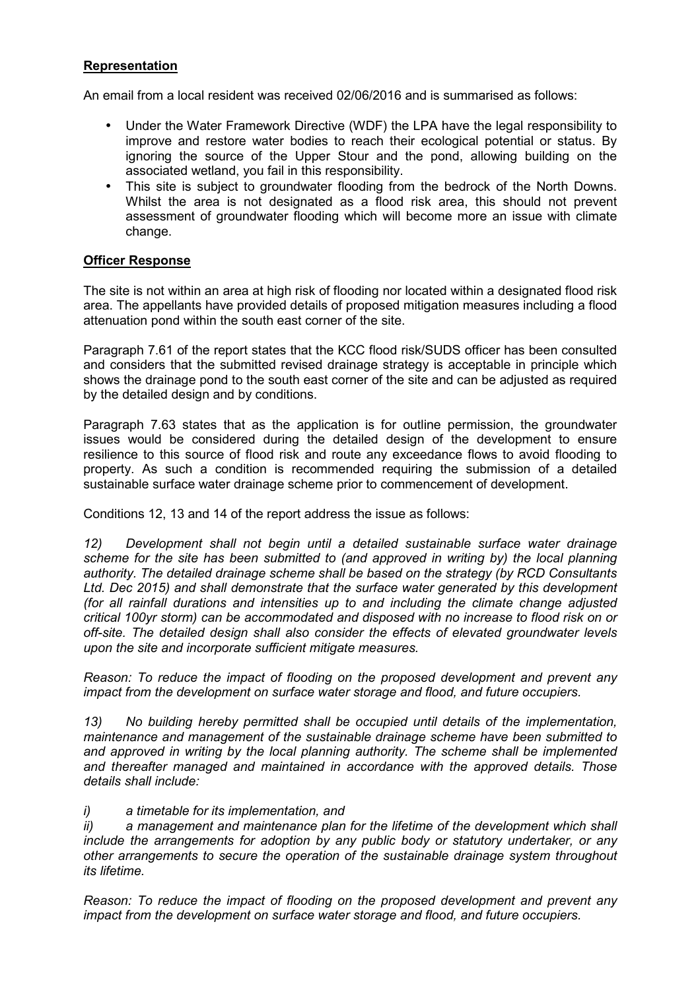# **Representation**

An email from a local resident was received 02/06/2016 and is summarised as follows:

- Under the Water Framework Directive (WDF) the LPA have the legal responsibility to improve and restore water bodies to reach their ecological potential or status. By ignoring the source of the Upper Stour and the pond, allowing building on the associated wetland, you fail in this responsibility.
- This site is subject to groundwater flooding from the bedrock of the North Downs. Whilst the area is not designated as a flood risk area, this should not prevent assessment of groundwater flooding which will become more an issue with climate change.

### **Officer Response**

The site is not within an area at high risk of flooding nor located within a designated flood risk area. The appellants have provided details of proposed mitigation measures including a flood attenuation pond within the south east corner of the site.

Paragraph 7.61 of the report states that the KCC flood risk/SUDS officer has been consulted and considers that the submitted revised drainage strategy is acceptable in principle which shows the drainage pond to the south east corner of the site and can be adjusted as required by the detailed design and by conditions.

Paragraph 7.63 states that as the application is for outline permission, the groundwater issues would be considered during the detailed design of the development to ensure resilience to this source of flood risk and route any exceedance flows to avoid flooding to property. As such a condition is recommended requiring the submission of a detailed sustainable surface water drainage scheme prior to commencement of development.

Conditions 12, 13 and 14 of the report address the issue as follows:

*12) Development shall not begin until a detailed sustainable surface water drainage scheme for the site has been submitted to (and approved in writing by) the local planning authority. The detailed drainage scheme shall be based on the strategy (by RCD Consultants Ltd. Dec 2015) and shall demonstrate that the surface water generated by this development (for all rainfall durations and intensities up to and including the climate change adjusted critical 100yr storm) can be accommodated and disposed with no increase to flood risk on or off-site. The detailed design shall also consider the effects of elevated groundwater levels upon the site and incorporate sufficient mitigate measures.* 

*Reason: To reduce the impact of flooding on the proposed development and prevent any impact from the development on surface water storage and flood, and future occupiers.* 

*13) No building hereby permitted shall be occupied until details of the implementation, maintenance and management of the sustainable drainage scheme have been submitted to and approved in writing by the local planning authority. The scheme shall be implemented and thereafter managed and maintained in accordance with the approved details. Those details shall include:* 

#### *i) a timetable for its implementation, and*

*ii) a management and maintenance plan for the lifetime of the development which shall include the arrangements for adoption by any public body or statutory undertaker, or any other arrangements to secure the operation of the sustainable drainage system throughout its lifetime.* 

*Reason: To reduce the impact of flooding on the proposed development and prevent any impact from the development on surface water storage and flood, and future occupiers.*